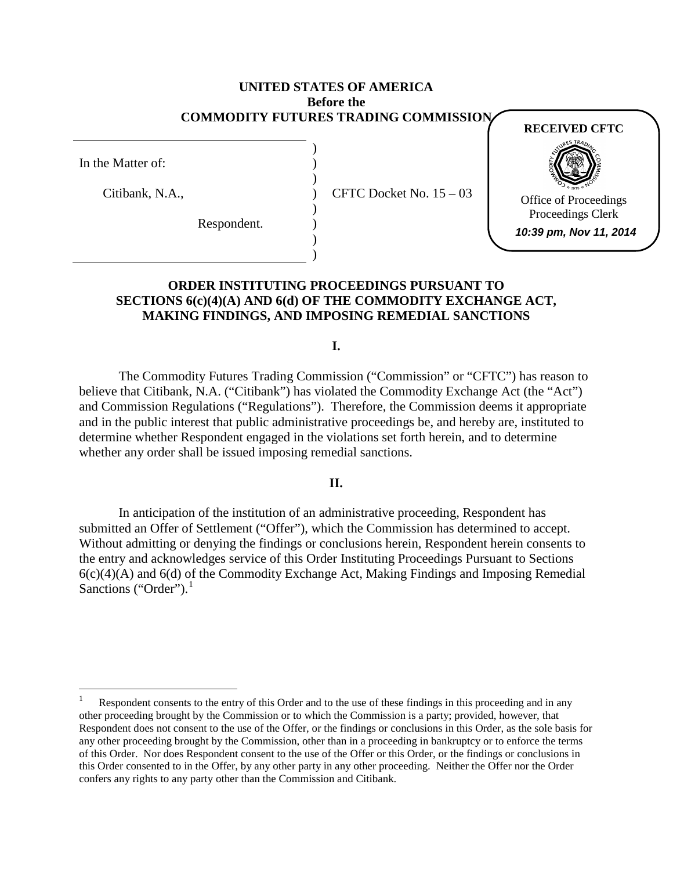## **UNITED STATES OF AMERICA Before the COMMODITY FUTURES TRADING COMMISSION**

) ) ) ) ) ) ) )

In the Matter of:

Citibank, N.A.,

Respondent.

CFTC Docket No. 15 – 03

**RECEIVED CFTC**



Office of Proceedings Proceedings Clerk

**10:39 pm, Nov 11, 2014**

## **ORDER INSTITUTING PROCEEDINGS PURSUANT TO SECTIONS 6(c)(4)(A) AND 6(d) OF THE COMMODITY EXCHANGE ACT, MAKING FINDINGS, AND IMPOSING REMEDIAL SANCTIONS**

**I.**

The Commodity Futures Trading Commission ("Commission" or "CFTC") has reason to believe that Citibank, N.A. ("Citibank") has violated the Commodity Exchange Act (the "Act") and Commission Regulations ("Regulations"). Therefore, the Commission deems it appropriate and in the public interest that public administrative proceedings be, and hereby are, instituted to determine whether Respondent engaged in the violations set forth herein, and to determine whether any order shall be issued imposing remedial sanctions.

## **II.**

In anticipation of the institution of an administrative proceeding, Respondent has submitted an Offer of Settlement ("Offer"), which the Commission has determined to accept. Without admitting or denying the findings or conclusions herein, Respondent herein consents to the entry and acknowledges service of this Order Instituting Proceedings Pursuant to Sections 6(c)(4)(A) and 6(d) of the Commodity Exchange Act, Making Findings and Imposing Remedial Sanctions ("Order"). $<sup>1</sup>$  $<sup>1</sup>$  $<sup>1</sup>$ </sup>

<span id="page-0-0"></span>Respondent consents to the entry of this Order and to the use of these findings in this proceeding and in any other proceeding brought by the Commission or to which the Commission is a party; provided, however, that Respondent does not consent to the use of the Offer*,* or the findings or conclusions in this Order, as the sole basis for any other proceeding brought by the Commission, other than in a proceeding in bankruptcy or to enforce the terms of this Order. Nor does Respondent consent to the use of the Offer or this Order, or the findings or conclusions in this Order consented to in the Offer, by any other party in any other proceeding. Neither the Offer nor the Order confers any rights to any party other than the Commission and Citibank.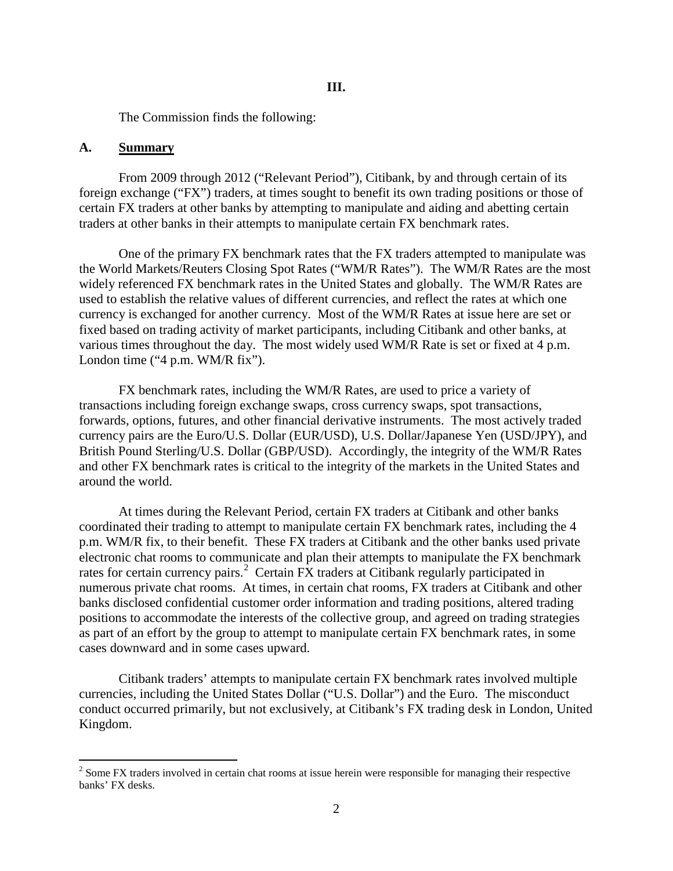The Commission finds the following:

#### **A. Summary**

From 2009 through 2012 ("Relevant Period"), Citibank, by and through certain of its foreign exchange ("FX") traders, at times sought to benefit its own trading positions or those of certain FX traders at other banks by attempting to manipulate and aiding and abetting certain traders at other banks in their attempts to manipulate certain FX benchmark rates.

One of the primary FX benchmark rates that the FX traders attempted to manipulate was the World Markets/Reuters Closing Spot Rates ("WM/R Rates"). The WM/R Rates are the most widely referenced FX benchmark rates in the United States and globally. The WM/R Rates are used to establish the relative values of different currencies, and reflect the rates at which one currency is exchanged for another currency. Most of the WM/R Rates at issue here are set or fixed based on trading activity of market participants, including Citibank and other banks, at various times throughout the day. The most widely used WM/R Rate is set or fixed at 4 p.m. London time ("4 p.m. WM/R fix").

FX benchmark rates, including the WM/R Rates, are used to price a variety of transactions including foreign exchange swaps, cross currency swaps, spot transactions, forwards, options, futures, and other financial derivative instruments. The most actively traded currency pairs are the Euro/U.S. Dollar (EUR/USD), U.S. Dollar/Japanese Yen (USD/JPY), and British Pound Sterling/U.S. Dollar (GBP/USD). Accordingly, the integrity of the WM/R Rates and other FX benchmark rates is critical to the integrity of the markets in the United States and around the world.

At times during the Relevant Period, certain FX traders at Citibank and other banks coordinated their trading to attempt to manipulate certain FX benchmark rates, including the 4 p.m. WM/R fix, to their benefit. These FX traders at Citibank and the other banks used private electronic chat rooms to communicate and plan their attempts to manipulate the FX benchmark rates for certain currency pairs.<sup>[2](#page-1-0)</sup> Certain FX traders at Citibank regularly participated in numerous private chat rooms. At times, in certain chat rooms, FX traders at Citibank and other banks disclosed confidential customer order information and trading positions, altered trading positions to accommodate the interests of the collective group, and agreed on trading strategies as part of an effort by the group to attempt to manipulate certain FX benchmark rates, in some cases downward and in some cases upward.

Citibank traders' attempts to manipulate certain FX benchmark rates involved multiple currencies, including the United States Dollar ("U.S. Dollar") and the Euro. The misconduct conduct occurred primarily, but not exclusively, at Citibank's FX trading desk in London, United Kingdom.

<span id="page-1-0"></span> $2 \text{ Some FX trades involved in certain chat rooms at issue herein were responsible for managing their respective.}$ banks' FX desks.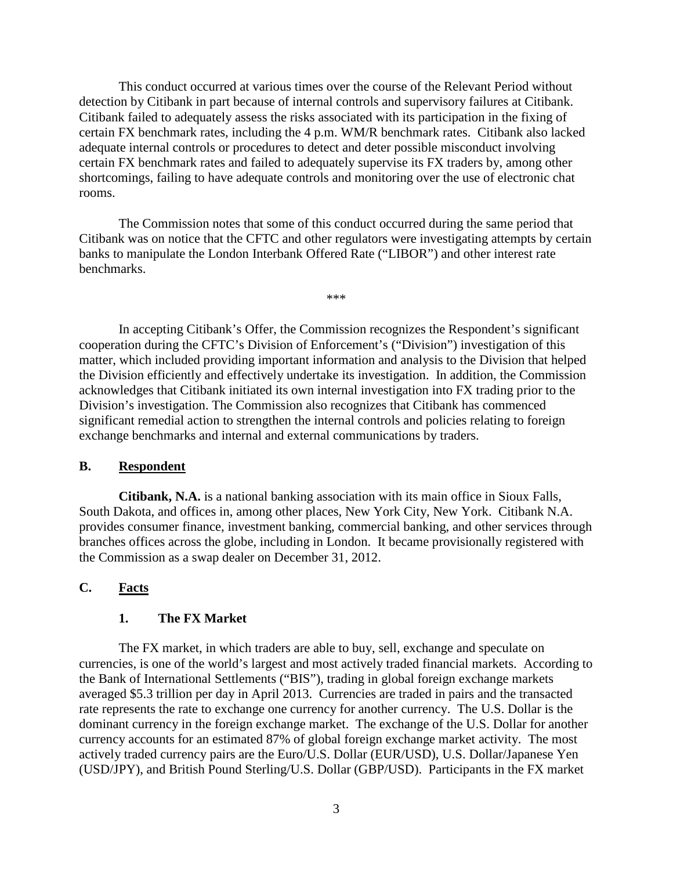This conduct occurred at various times over the course of the Relevant Period without detection by Citibank in part because of internal controls and supervisory failures at Citibank. Citibank failed to adequately assess the risks associated with its participation in the fixing of certain FX benchmark rates, including the 4 p.m. WM/R benchmark rates. Citibank also lacked adequate internal controls or procedures to detect and deter possible misconduct involving certain FX benchmark rates and failed to adequately supervise its FX traders by, among other shortcomings, failing to have adequate controls and monitoring over the use of electronic chat rooms.

The Commission notes that some of this conduct occurred during the same period that Citibank was on notice that the CFTC and other regulators were investigating attempts by certain banks to manipulate the London Interbank Offered Rate ("LIBOR") and other interest rate benchmarks.

\*\*\*

In accepting Citibank's Offer, the Commission recognizes the Respondent's significant cooperation during the CFTC's Division of Enforcement's ("Division") investigation of this matter, which included providing important information and analysis to the Division that helped the Division efficiently and effectively undertake its investigation. In addition, the Commission acknowledges that Citibank initiated its own internal investigation into FX trading prior to the Division's investigation. The Commission also recognizes that Citibank has commenced significant remedial action to strengthen the internal controls and policies relating to foreign exchange benchmarks and internal and external communications by traders.

#### **B. Respondent**

**Citibank, N.A.** is a national banking association with its main office in Sioux Falls, South Dakota, and offices in, among other places, New York City, New York. Citibank N.A. provides consumer finance, investment banking, commercial banking, and other services through branches offices across the globe, including in London. It became provisionally registered with the Commission as a swap dealer on December 31, 2012.

## **C. Facts**

#### **1. The FX Market**

The FX market, in which traders are able to buy, sell, exchange and speculate on currencies, is one of the world's largest and most actively traded financial markets. According to the Bank of International Settlements ("BIS"), trading in global foreign exchange markets averaged \$5.3 trillion per day in April 2013. Currencies are traded in pairs and the transacted rate represents the rate to exchange one currency for another currency. The U.S. Dollar is the dominant currency in the foreign exchange market. The exchange of the U.S. Dollar for another currency accounts for an estimated 87% of global foreign exchange market activity. The most actively traded currency pairs are the Euro/U.S. Dollar (EUR/USD), U.S. Dollar/Japanese Yen (USD/JPY), and British Pound Sterling/U.S. Dollar (GBP/USD). Participants in the FX market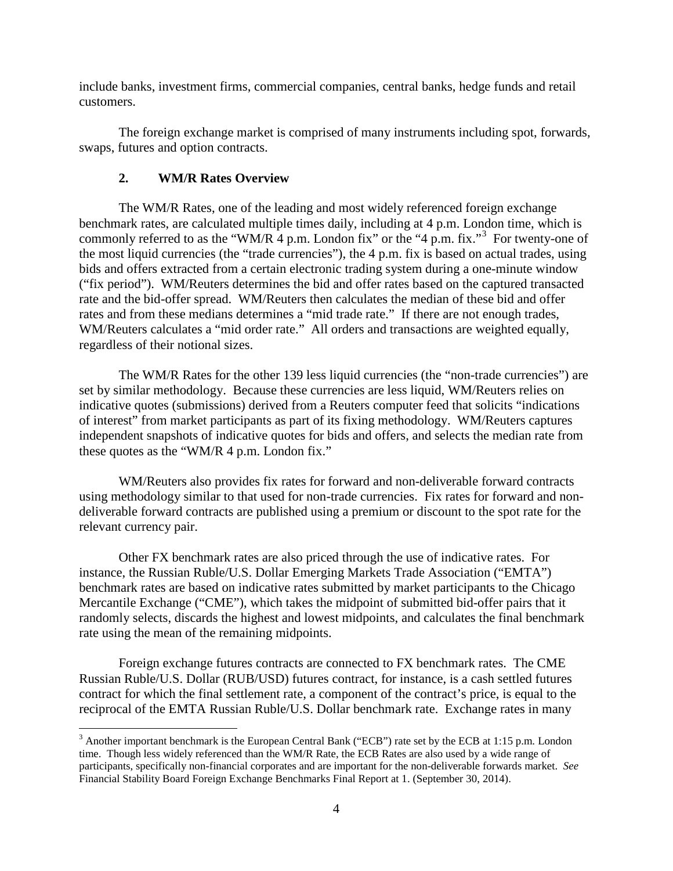include banks, investment firms, commercial companies, central banks, hedge funds and retail customers.

The foreign exchange market is comprised of many instruments including spot, forwards, swaps, futures and option contracts.

## **2. WM/R Rates Overview**

The WM/R Rates, one of the leading and most widely referenced foreign exchange benchmark rates, are calculated multiple times daily, including at 4 p.m. London time, which is commonly referred to as the "WM/R  $\overline{4}$  p.m. London fix" or the "4 p.m. fix."<sup>[3](#page-3-0)</sup> For twenty-one of the most liquid currencies (the "trade currencies"), the 4 p.m. fix is based on actual trades, using bids and offers extracted from a certain electronic trading system during a one-minute window ("fix period"). WM/Reuters determines the bid and offer rates based on the captured transacted rate and the bid-offer spread. WM/Reuters then calculates the median of these bid and offer rates and from these medians determines a "mid trade rate." If there are not enough trades, WM/Reuters calculates a "mid order rate." All orders and transactions are weighted equally, regardless of their notional sizes.

The WM/R Rates for the other 139 less liquid currencies (the "non-trade currencies") are set by similar methodology. Because these currencies are less liquid, WM/Reuters relies on indicative quotes (submissions) derived from a Reuters computer feed that solicits "indications of interest" from market participants as part of its fixing methodology. WM/Reuters captures independent snapshots of indicative quotes for bids and offers, and selects the median rate from these quotes as the "WM/R 4 p.m. London fix."

WM/Reuters also provides fix rates for forward and non-deliverable forward contracts using methodology similar to that used for non-trade currencies. Fix rates for forward and nondeliverable forward contracts are published using a premium or discount to the spot rate for the relevant currency pair.

Other FX benchmark rates are also priced through the use of indicative rates. For instance, the Russian Ruble/U.S. Dollar Emerging Markets Trade Association ("EMTA") benchmark rates are based on indicative rates submitted by market participants to the Chicago Mercantile Exchange ("CME"), which takes the midpoint of submitted bid-offer pairs that it randomly selects, discards the highest and lowest midpoints, and calculates the final benchmark rate using the mean of the remaining midpoints.

Foreign exchange futures contracts are connected to FX benchmark rates. The CME Russian Ruble/U.S. Dollar (RUB/USD) futures contract, for instance, is a cash settled futures contract for which the final settlement rate, a component of the contract's price, is equal to the reciprocal of the EMTA Russian Ruble/U.S. Dollar benchmark rate. Exchange rates in many

<span id="page-3-0"></span> $3$  Another important benchmark is the European Central Bank ("ECB") rate set by the ECB at 1:15 p.m. London time. Though less widely referenced than the WM/R Rate, the ECB Rates are also used by a wide range of participants, specifically non-financial corporates and are important for the non-deliverable forwards market. *See*  Financial Stability Board Foreign Exchange Benchmarks Final Report at 1. (September 30, 2014).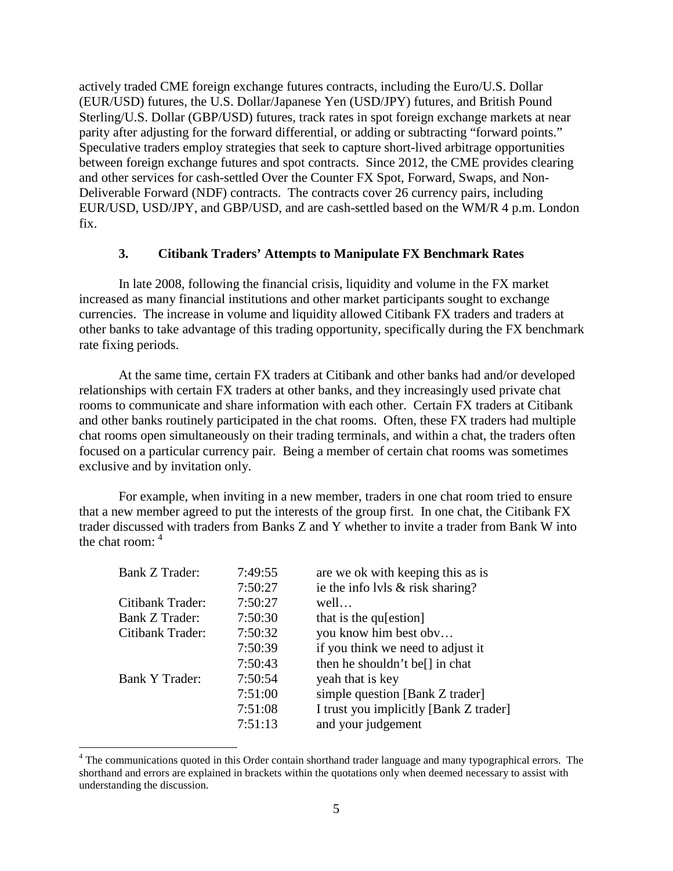actively traded CME foreign exchange futures contracts, including the Euro/U.S. Dollar (EUR/USD) futures, the U.S. Dollar/Japanese Yen (USD/JPY) futures, and British Pound Sterling/U.S. Dollar (GBP/USD) futures, track rates in spot foreign exchange markets at near parity after adjusting for the forward differential, or adding or subtracting "forward points." Speculative traders employ strategies that seek to capture short-lived arbitrage opportunities between foreign exchange futures and spot contracts. Since 2012, the CME provides clearing and other services for cash-settled Over the Counter FX Spot, Forward, Swaps, and Non-Deliverable Forward (NDF) contracts. The contracts cover 26 currency pairs, including EUR/USD, USD/JPY, and GBP/USD, and are cash-settled based on the WM/R 4 p.m. London fix.

## **3. Citibank Traders' Attempts to Manipulate FX Benchmark Rates**

In late 2008, following the financial crisis, liquidity and volume in the FX market increased as many financial institutions and other market participants sought to exchange currencies. The increase in volume and liquidity allowed Citibank FX traders and traders at other banks to take advantage of this trading opportunity, specifically during the FX benchmark rate fixing periods.

At the same time, certain FX traders at Citibank and other banks had and/or developed relationships with certain FX traders at other banks, and they increasingly used private chat rooms to communicate and share information with each other. Certain FX traders at Citibank and other banks routinely participated in the chat rooms. Often, these FX traders had multiple chat rooms open simultaneously on their trading terminals, and within a chat, the traders often focused on a particular currency pair. Being a member of certain chat rooms was sometimes exclusive and by invitation only.

For example, when inviting in a new member, traders in one chat room tried to ensure that a new member agreed to put the interests of the group first. In one chat, the Citibank FX trader discussed with traders from Banks Z and Y whether to invite a trader from Bank W into the chat room: [4](#page-4-0)

| 7:49:55 | are we ok with keeping this as is          |
|---------|--------------------------------------------|
| 7:50:27 | ie the info lvls $&$ risk sharing?         |
| 7:50:27 | well                                       |
| 7:50:30 | that is the qu[estion]                     |
| 7:50:32 | you know him best obv                      |
| 7:50:39 | if you think we need to adjust it          |
| 7:50:43 | then he shouldn't be <sup>[]</sup> in chat |
| 7:50:54 | yeah that is key                           |
| 7:51:00 | simple question [Bank Z trader]            |
| 7:51:08 | I trust you implicitly [Bank Z trader]     |
| 7:51:13 | and your judgement                         |
|         |                                            |

<span id="page-4-0"></span><sup>&</sup>lt;sup>4</sup> The communications quoted in this Order contain shorthand trader language and many typographical errors. The shorthand and errors are explained in brackets within the quotations only when deemed necessary to assist with understanding the discussion.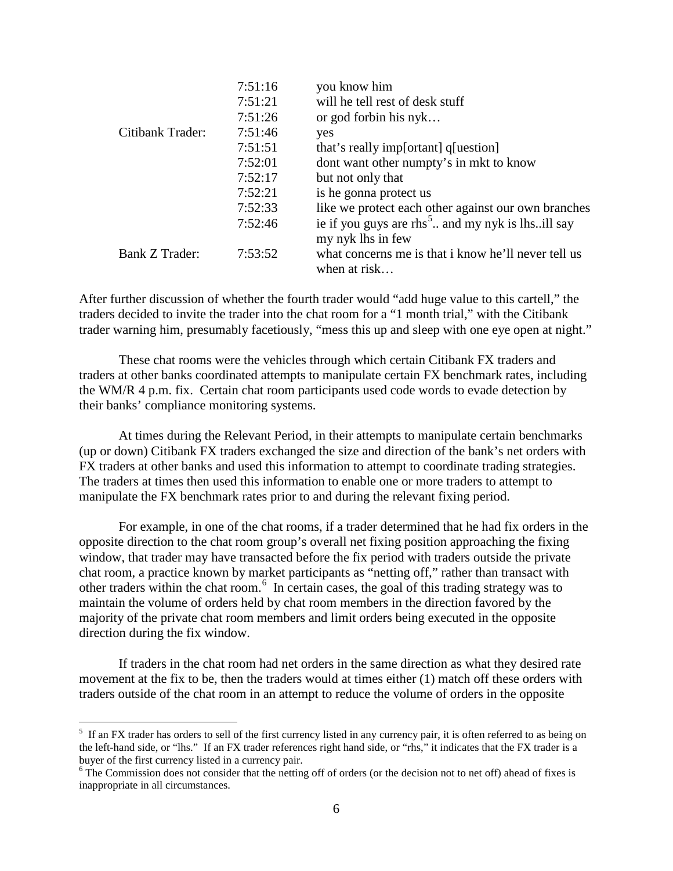|                  | 7:51:16 | you know him                                                                      |
|------------------|---------|-----------------------------------------------------------------------------------|
|                  | 7:51:21 | will he tell rest of desk stuff                                                   |
|                  | 7:51:26 | or god forbin his $nyk$                                                           |
| Citibank Trader: | 7:51:46 | yes                                                                               |
|                  | 7:51:51 | that's really imp[ortant] q[uestion]                                              |
|                  | 7:52:01 | dont want other numpty's in mkt to know                                           |
|                  | 7:52:17 | but not only that                                                                 |
|                  | 7:52:21 | is he gonna protect us                                                            |
|                  | 7:52:33 | like we protect each other against our own branches                               |
|                  | 7:52:46 | ie if you guys are rhs <sup>5</sup> and my nyk is lhsill say<br>my nyk lhs in few |
| Bank Z Trader:   | 7:53:52 | what concerns me is that i know he'll never tell us<br>when at risk               |

After further discussion of whether the fourth trader would "add huge value to this cartell," the traders decided to invite the trader into the chat room for a "1 month trial," with the Citibank trader warning him, presumably facetiously, "mess this up and sleep with one eye open at night."

These chat rooms were the vehicles through which certain Citibank FX traders and traders at other banks coordinated attempts to manipulate certain FX benchmark rates, including the WM/R 4 p.m. fix. Certain chat room participants used code words to evade detection by their banks' compliance monitoring systems.

At times during the Relevant Period, in their attempts to manipulate certain benchmarks (up or down) Citibank FX traders exchanged the size and direction of the bank's net orders with FX traders at other banks and used this information to attempt to coordinate trading strategies. The traders at times then used this information to enable one or more traders to attempt to manipulate the FX benchmark rates prior to and during the relevant fixing period.

For example, in one of the chat rooms, if a trader determined that he had fix orders in the opposite direction to the chat room group's overall net fixing position approaching the fixing window, that trader may have transacted before the fix period with traders outside the private chat room, a practice known by market participants as "netting off," rather than transact with other traders within the chat room.[6](#page-5-1) In certain cases, the goal of this trading strategy was to maintain the volume of orders held by chat room members in the direction favored by the majority of the private chat room members and limit orders being executed in the opposite direction during the fix window.

If traders in the chat room had net orders in the same direction as what they desired rate movement at the fix to be, then the traders would at times either (1) match off these orders with traders outside of the chat room in an attempt to reduce the volume of orders in the opposite

<span id="page-5-0"></span> <sup>5</sup> <sup>5</sup> If an FX trader has orders to sell of the first currency listed in any currency pair, it is often referred to as being on the left-hand side, or "lhs." If an FX trader references right hand side, or "rhs," it indicates that the FX trader is a buyer of the first currency listed in a currency pair.

<span id="page-5-1"></span> $6\text{ The Commission does not consider that the netting off of orders (or the decision not to net off) ahead of fixes is }\frac{1}{2}\sum_{n=1}^{\infty} \frac{1}{n^2}$ inappropriate in all circumstances.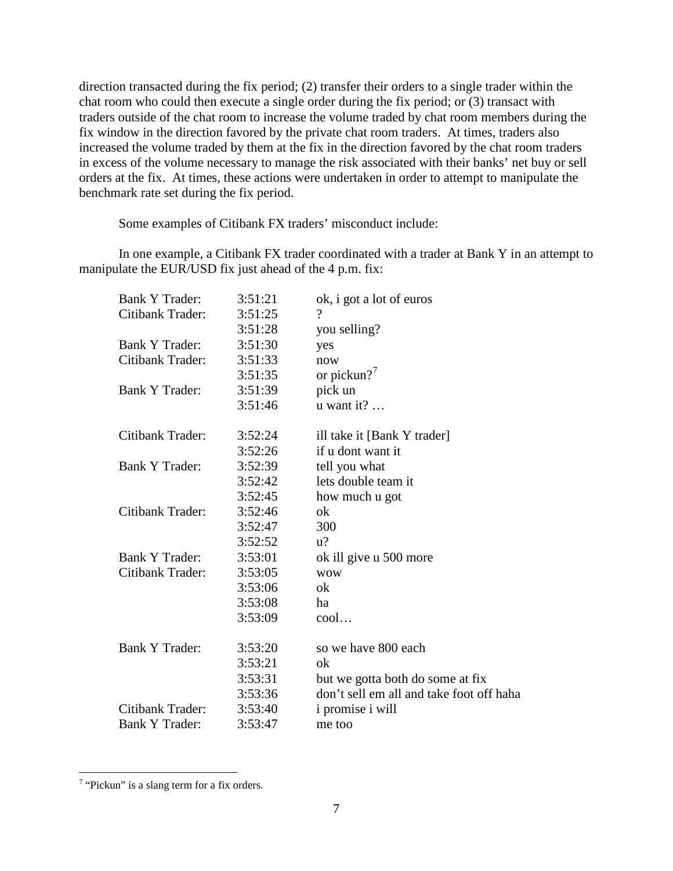direction transacted during the fix period; (2) transfer their orders to a single trader within the chat room who could then execute a single order during the fix period; or (3) transact with traders outside of the chat room to increase the volume traded by chat room members during the fix window in the direction favored by the private chat room traders. At times, traders also increased the volume traded by them at the fix in the direction favored by the chat room traders in excess of the volume necessary to manage the risk associated with their banks' net buy or sell orders at the fix. At times, these actions were undertaken in order to attempt to manipulate the benchmark rate set during the fix period.

Some examples of Citibank FX traders' misconduct include:

In one example, a Citibank FX trader coordinated with a trader at Bank Y in an attempt to manipulate the EUR/USD fix just ahead of the 4 p.m. fix:

| <b>Bank Y Trader:</b> | 3:51:21 | ok, i got a lot of euros                 |
|-----------------------|---------|------------------------------------------|
| Citibank Trader:      | 3:51:25 | ?                                        |
|                       | 3:51:28 | you selling?                             |
| <b>Bank Y Trader:</b> | 3:51:30 | yes                                      |
| Citibank Trader:      | 3:51:33 | now                                      |
|                       | 3:51:35 | or pickun? <sup>7</sup>                  |
| <b>Bank Y Trader:</b> | 3:51:39 | pick un                                  |
|                       | 3:51:46 | $u$ want it?                             |
| Citibank Trader:      | 3:52:24 | ill take it [Bank Y trader]              |
|                       | 3:52:26 | if u dont want it                        |
| <b>Bank Y Trader:</b> | 3:52:39 | tell you what                            |
|                       | 3:52:42 | lets double team it                      |
|                       | 3:52:45 | how much u got                           |
| Citibank Trader:      | 3:52:46 | ok                                       |
|                       | 3:52:47 | 300                                      |
|                       | 3:52:52 | $u$ ?                                    |
| <b>Bank Y Trader:</b> | 3:53:01 | ok ill give u 500 more                   |
| Citibank Trader:      | 3:53:05 | <b>WOW</b>                               |
|                       | 3:53:06 | ok                                       |
|                       | 3:53:08 | ha                                       |
|                       | 3:53:09 | $\text{cool} \dots$                      |
| <b>Bank Y Trader:</b> | 3:53:20 | so we have 800 each                      |
|                       | 3:53:21 | ok                                       |
|                       | 3:53:31 | but we gotta both do some at fix         |
|                       | 3:53:36 | don't sell em all and take foot off haha |
| Citibank Trader:      | 3:53:40 | i promise i will                         |
| <b>Bank Y Trader:</b> | 3:53:47 | me too                                   |

<span id="page-6-0"></span><sup>&</sup>lt;sup>7</sup> "Pickun" is a slang term for a fix orders.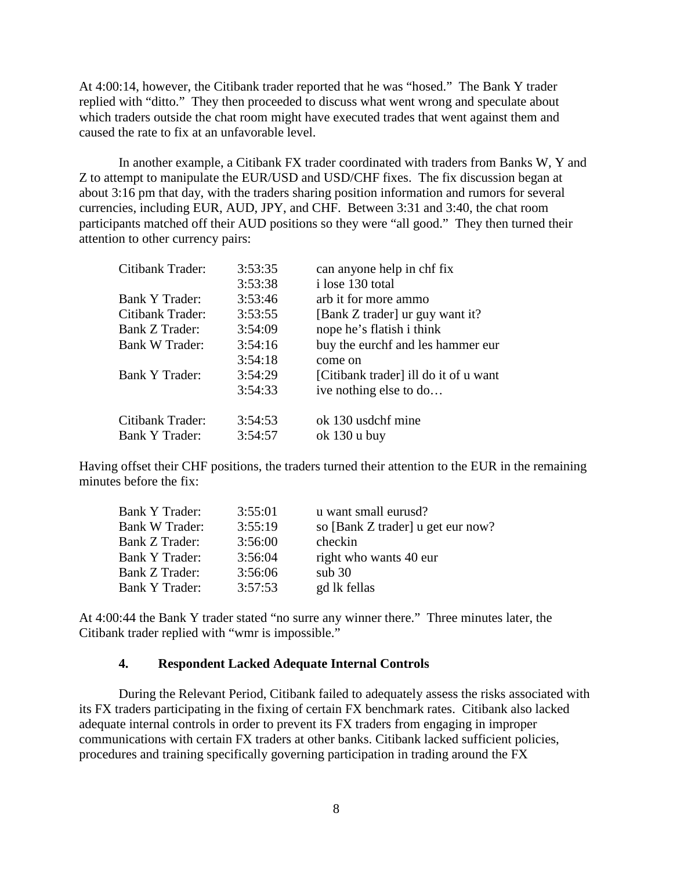At 4:00:14, however, the Citibank trader reported that he was "hosed." The Bank Y trader replied with "ditto." They then proceeded to discuss what went wrong and speculate about which traders outside the chat room might have executed trades that went against them and caused the rate to fix at an unfavorable level.

In another example, a Citibank FX trader coordinated with traders from Banks W, Y and Z to attempt to manipulate the EUR/USD and USD/CHF fixes. The fix discussion began at about 3:16 pm that day, with the traders sharing position information and rumors for several currencies, including EUR, AUD, JPY, and CHF. Between 3:31 and 3:40, the chat room participants matched off their AUD positions so they were "all good." They then turned their attention to other currency pairs:

| Citibank Trader:      | 3:53:35 | can anyone help in chf fix            |
|-----------------------|---------|---------------------------------------|
|                       | 3:53:38 | i lose 130 total                      |
| Bank Y Trader:        | 3:53:46 | arb it for more ammo                  |
| Citibank Trader:      | 3:53:55 | [Bank Z trader] ur guy want it?       |
| Bank Z Trader:        | 3:54:09 | nope he's flatish i think             |
| Bank W Trader:        | 3:54:16 | buy the eurchf and les hammer eur     |
|                       | 3:54:18 | come on                               |
| <b>Bank Y Trader:</b> | 3:54:29 | [Citibank trader] ill do it of u want |
|                       | 3:54:33 | ive nothing else to do                |
| Citibank Trader:      | 3:54:53 | ok 130 usdchf mine                    |
| Bank Y Trader:        | 3:54:57 | ok $130 u$ buy                        |

Having offset their CHF positions, the traders turned their attention to the EUR in the remaining minutes before the fix:

| <b>Bank Y Trader:</b> | 3:55:01 | u want small eurusd?              |
|-----------------------|---------|-----------------------------------|
| <b>Bank W Trader:</b> | 3:55:19 | so [Bank Z trader] u get eur now? |
| <b>Bank Z Trader:</b> | 3:56:00 | checkin                           |
| Bank Y Trader:        | 3:56:04 | right who wants 40 eur            |
| <b>Bank Z Trader:</b> | 3:56:06 | sub 30                            |
| Bank Y Trader:        | 3:57:53 | gd lk fellas                      |
|                       |         |                                   |

At 4:00:44 the Bank Y trader stated "no surre any winner there." Three minutes later, the Citibank trader replied with "wmr is impossible."

#### **4. Respondent Lacked Adequate Internal Controls**

During the Relevant Period, Citibank failed to adequately assess the risks associated with its FX traders participating in the fixing of certain FX benchmark rates. Citibank also lacked adequate internal controls in order to prevent its FX traders from engaging in improper communications with certain FX traders at other banks. Citibank lacked sufficient policies, procedures and training specifically governing participation in trading around the FX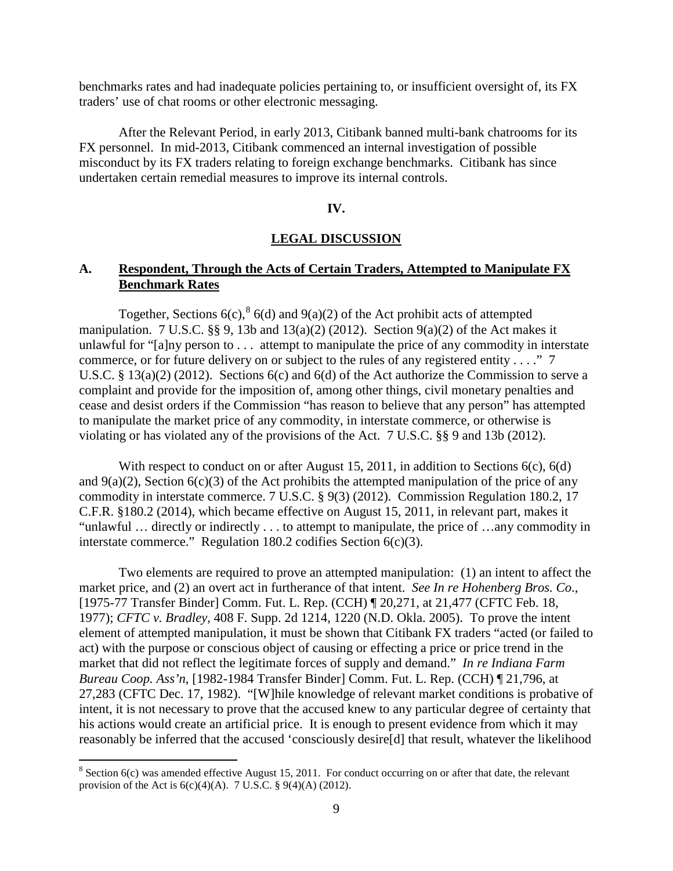benchmarks rates and had inadequate policies pertaining to, or insufficient oversight of, its FX traders' use of chat rooms or other electronic messaging.

After the Relevant Period, in early 2013, Citibank banned multi-bank chatrooms for its FX personnel. In mid-2013, Citibank commenced an internal investigation of possible misconduct by its FX traders relating to foreign exchange benchmarks. Citibank has since undertaken certain remedial measures to improve its internal controls.

#### **IV.**

#### **LEGAL DISCUSSION**

## **A. Respondent, Through the Acts of Certain Traders, Attempted to Manipulate FX Benchmark Rates**

Together, Sections 6(c),  $8$  6(d) and 9(a)(2) of the Act prohibit acts of attempted manipulation. 7 U.S.C.  $\S$ § 9, 13b and 13(a)(2) (2012). Section 9(a)(2) of the Act makes it unlawful for "[a]ny person to . . . attempt to manipulate the price of any commodity in interstate commerce, or for future delivery on or subject to the rules of any registered entity . . . ." 7 U.S.C. § 13(a)(2) (2012). Sections 6(c) and 6(d) of the Act authorize the Commission to serve a complaint and provide for the imposition of, among other things, civil monetary penalties and cease and desist orders if the Commission "has reason to believe that any person" has attempted to manipulate the market price of any commodity, in interstate commerce, or otherwise is violating or has violated any of the provisions of the Act. 7 U.S.C. §§ 9 and 13b (2012).

With respect to conduct on or after August 15, 2011, in addition to Sections 6(c), 6(d) and  $9(a)(2)$ , Section  $6(c)(3)$  of the Act prohibits the attempted manipulation of the price of any commodity in interstate commerce. 7 U.S.C. § 9(3) (2012). Commission Regulation 180.2, 17 C.F.R. §180.2 (2014), which became effective on August 15, 2011, in relevant part, makes it "unlawful … directly or indirectly . . . to attempt to manipulate, the price of …any commodity in interstate commerce." Regulation 180.2 codifies Section 6(c)(3).

Two elements are required to prove an attempted manipulation: (1) an intent to affect the market price, and (2) an overt act in furtherance of that intent. *See In re Hohenberg Bros. Co*., [1975-77 Transfer Binder] Comm. Fut. L. Rep. (CCH) ¶ 20,271, at 21,477 (CFTC Feb. 18, 1977); *CFTC v. Bradley*, 408 F. Supp. 2d 1214, 1220 (N.D. Okla. 2005). To prove the intent element of attempted manipulation, it must be shown that Citibank FX traders "acted (or failed to act) with the purpose or conscious object of causing or effecting a price or price trend in the market that did not reflect the legitimate forces of supply and demand." *In re Indiana Farm Bureau Coop. Ass'n*, [1982-1984 Transfer Binder] Comm. Fut. L. Rep. (CCH) ¶ 21,796, at 27,283 (CFTC Dec. 17, 1982). "[W]hile knowledge of relevant market conditions is probative of intent, it is not necessary to prove that the accused knew to any particular degree of certainty that his actions would create an artificial price. It is enough to present evidence from which it may reasonably be inferred that the accused 'consciously desire[d] that result, whatever the likelihood

<span id="page-8-0"></span> $8$  Section 6(c) was amended effective August 15, 2011. For conduct occurring on or after that date, the relevant provision of the Act is  $6(c)(4)(A)$ . 7 U.S.C. §  $9(4)(A)$  (2012).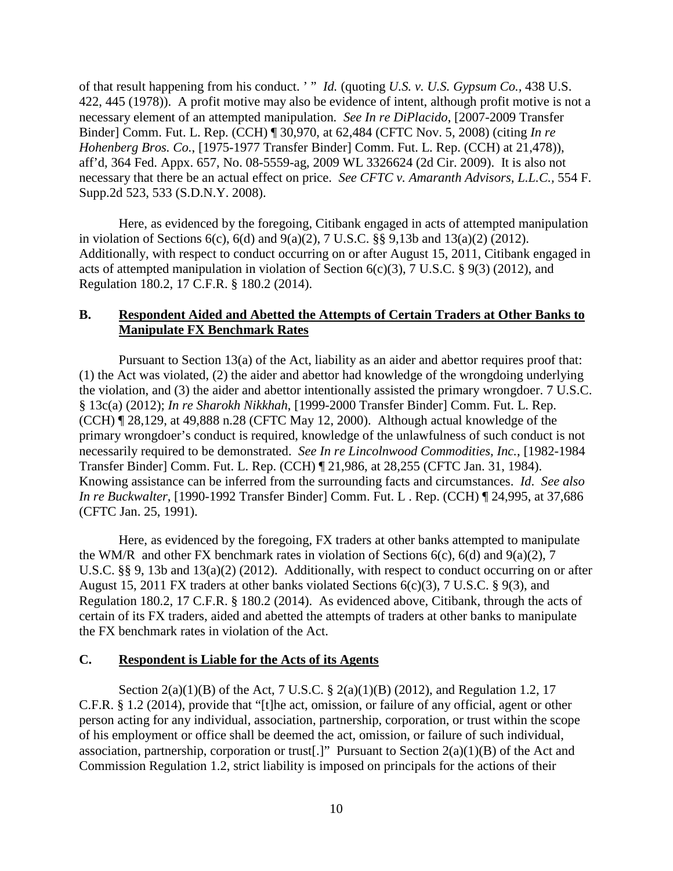of that result happening from his conduct. ' " *Id.* (quoting *U.S. v. U.S. Gypsum Co.,* 438 U.S. 422, 445 (1978)). A profit motive may also be evidence of intent, although profit motive is not a necessary element of an attempted manipulation*. See In re DiPlacido*, [2007-2009 Transfer Binder] Comm. Fut. L. Rep. (CCH) ¶ 30,970, at 62,484 (CFTC Nov. 5, 2008) (citing *In re Hohenberg Bros. Co.*, [1975-1977 Transfer Binder] Comm. Fut. L. Rep. (CCH) at 21,478)), aff'd, 364 Fed. Appx. 657, No. 08-5559-ag, 2009 WL 3326624 (2d Cir. 2009). It is also not necessary that there be an actual effect on price. *See CFTC v. Amaranth Advisors, L.L.C.,* 554 F. Supp.2d 523, 533 (S.D.N.Y. 2008).

Here, as evidenced by the foregoing, Citibank engaged in acts of attempted manipulation in violation of Sections 6(c), 6(d) and 9(a)(2), 7 U.S.C. §§ 9,13b and 13(a)(2) (2012). Additionally, with respect to conduct occurring on or after August 15, 2011, Citibank engaged in acts of attempted manipulation in violation of Section 6(c)(3), 7 U.S.C. § 9(3) (2012), and Regulation 180.2, 17 C.F.R. § 180.2 (2014).

## **B. Respondent Aided and Abetted the Attempts of Certain Traders at Other Banks to Manipulate FX Benchmark Rates**

Pursuant to Section 13(a) of the Act, liability as an aider and abettor requires proof that: (1) the Act was violated, (2) the aider and abettor had knowledge of the wrongdoing underlying the violation, and (3) the aider and abettor intentionally assisted the primary wrongdoer. 7 U.S.C. § 13c(a) (2012); *In re Sharokh Nikkhah*, [1999-2000 Transfer Binder] Comm. Fut. L. Rep. (CCH) ¶ 28,129, at 49,888 n.28 (CFTC May 12, 2000). Although actual knowledge of the primary wrongdoer's conduct is required, knowledge of the unlawfulness of such conduct is not necessarily required to be demonstrated. *See In re Lincolnwood Commodities, Inc.*, [1982-1984 Transfer Binder] Comm. Fut. L. Rep. (CCH) ¶ 21,986, at 28,255 (CFTC Jan. 31, 1984). Knowing assistance can be inferred from the surrounding facts and circumstances. *Id*. *See also In re Buckwalter*, [1990-1992 Transfer Binder] Comm. Fut. L . Rep. (CCH) ¶ 24,995, at 37,686 (CFTC Jan. 25, 1991).

Here, as evidenced by the foregoing, FX traders at other banks attempted to manipulate the WM/R and other FX benchmark rates in violation of Sections  $6(c)$ ,  $6(d)$  and  $9(a)(2)$ , 7 U.S.C. §§ 9, 13b and 13(a)(2) (2012). Additionally, with respect to conduct occurring on or after August 15, 2011 FX traders at other banks violated Sections 6(c)(3), 7 U.S.C. § 9(3), and Regulation 180.2, 17 C.F.R. § 180.2 (2014). As evidenced above, Citibank, through the acts of certain of its FX traders, aided and abetted the attempts of traders at other banks to manipulate the FX benchmark rates in violation of the Act.

#### **C. Respondent is Liable for the Acts of its Agents**

Section 2(a)(1)(B) of the Act, 7 U.S.C. § 2(a)(1)(B) (2012), and Regulation 1.2, 17 C.F.R. § 1.2 (2014), provide that "[t]he act, omission, or failure of any official, agent or other person acting for any individual, association, partnership, corporation, or trust within the scope of his employment or office shall be deemed the act, omission, or failure of such individual, association, partnership, corporation or trust. "Pursuant to Section  $2(a)(1)(B)$  of the Act and Commission Regulation 1.2, strict liability is imposed on principals for the actions of their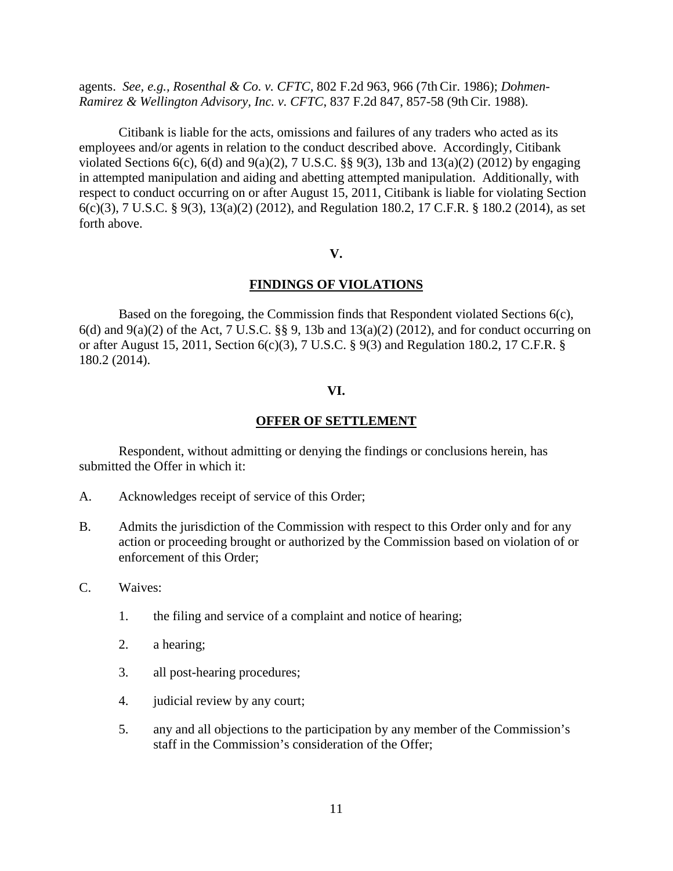agents. *See, e.g., Rosenthal & Co. v. CFTC,* 802 F.2d 963, 966 (7th Cir. 1986); *Dohmen-Ramirez & Wellington Advisory, Inc. v. CFTC*, 837 F.2d 847, 857-58 (9th Cir. 1988).

Citibank is liable for the acts, omissions and failures of any traders who acted as its employees and/or agents in relation to the conduct described above. Accordingly, Citibank violated Sections 6(c), 6(d) and 9(a)(2), 7 U.S.C.  $\S$  9(3), 13b and 13(a)(2) (2012) by engaging in attempted manipulation and aiding and abetting attempted manipulation. Additionally, with respect to conduct occurring on or after August 15, 2011, Citibank is liable for violating Section 6(c)(3), 7 U.S.C. § 9(3), 13(a)(2) (2012), and Regulation 180.2, 17 C.F.R. § 180.2 (2014), as set forth above.

## **V.**

## **FINDINGS OF VIOLATIONS**

Based on the foregoing, the Commission finds that Respondent violated Sections 6(c),  $6(d)$  and  $9(a)(2)$  of the Act, 7 U.S.C. §§ 9, 13b and 13(a)(2) (2012), and for conduct occurring on or after August 15, 2011, Section 6(c)(3), 7 U.S.C. § 9(3) and Regulation 180.2, 17 C.F.R. § 180.2 (2014).

#### **VI.**

## **OFFER OF SETTLEMENT**

Respondent, without admitting or denying the findings or conclusions herein, has submitted the Offer in which it:

- A. Acknowledges receipt of service of this Order;
- B. Admits the jurisdiction of the Commission with respect to this Order only and for any action or proceeding brought or authorized by the Commission based on violation of or enforcement of this Order;
- C. Waives:
	- 1. the filing and service of a complaint and notice of hearing;
	- 2. a hearing;
	- 3. all post-hearing procedures;
	- 4. judicial review by any court;
	- 5. any and all objections to the participation by any member of the Commission's staff in the Commission's consideration of the Offer;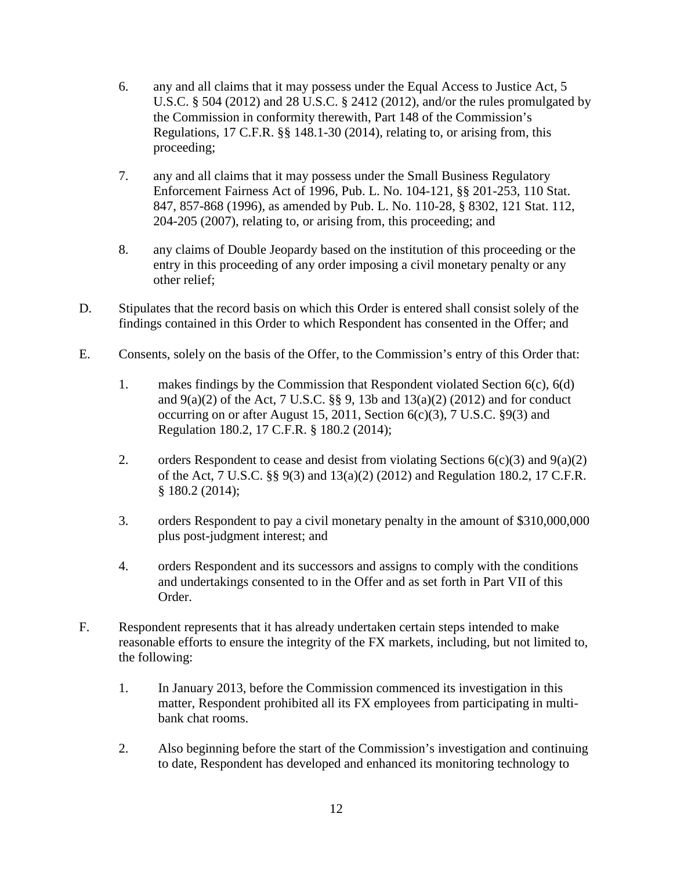- 6. any and all claims that it may possess under the Equal Access to Justice Act, 5 U.S.C. § 504 (2012) and 28 U.S.C. § 2412 (2012), and/or the rules promulgated by the Commission in conformity therewith, Part 148 of the Commission's Regulations, 17 C.F.R. §§ 148.1-30 (2014), relating to, or arising from, this proceeding;
- 7. any and all claims that it may possess under the Small Business Regulatory Enforcement Fairness Act of 1996, Pub. L. No. 104-121, §§ 201-253, 110 Stat. 847, 857-868 (1996), as amended by Pub. L. No. 110-28, § 8302, 121 Stat. 112, 204-205 (2007), relating to, or arising from, this proceeding; and
- 8. any claims of Double Jeopardy based on the institution of this proceeding or the entry in this proceeding of any order imposing a civil monetary penalty or any other relief;
- D. Stipulates that the record basis on which this Order is entered shall consist solely of the findings contained in this Order to which Respondent has consented in the Offer; and
- E. Consents, solely on the basis of the Offer, to the Commission's entry of this Order that:
	- 1. makes findings by the Commission that Respondent violated Section 6(c), 6(d) and 9(a)(2) of the Act, 7 U.S.C. §§ 9, 13b and 13(a)(2) (2012) and for conduct occurring on or after August 15, 2011, Section  $6(c)(3)$ , 7 U.S.C. §9(3) and Regulation 180.2, 17 C.F.R. § 180.2 (2014);
	- 2. orders Respondent to cease and desist from violating Sections  $6(c)(3)$  and  $9(a)(2)$ of the Act, 7 U.S.C. §§ 9(3) and 13(a)(2) (2012) and Regulation 180.2, 17 C.F.R. § 180.2 (2014);
	- 3. orders Respondent to pay a civil monetary penalty in the amount of \$310,000,000 plus post-judgment interest; and
	- 4. orders Respondent and its successors and assigns to comply with the conditions and undertakings consented to in the Offer and as set forth in Part VII of this Order.
- F. Respondent represents that it has already undertaken certain steps intended to make reasonable efforts to ensure the integrity of the FX markets, including, but not limited to, the following:
	- 1. In January 2013, before the Commission commenced its investigation in this matter, Respondent prohibited all its FX employees from participating in multibank chat rooms.
	- 2. Also beginning before the start of the Commission's investigation and continuing to date, Respondent has developed and enhanced its monitoring technology to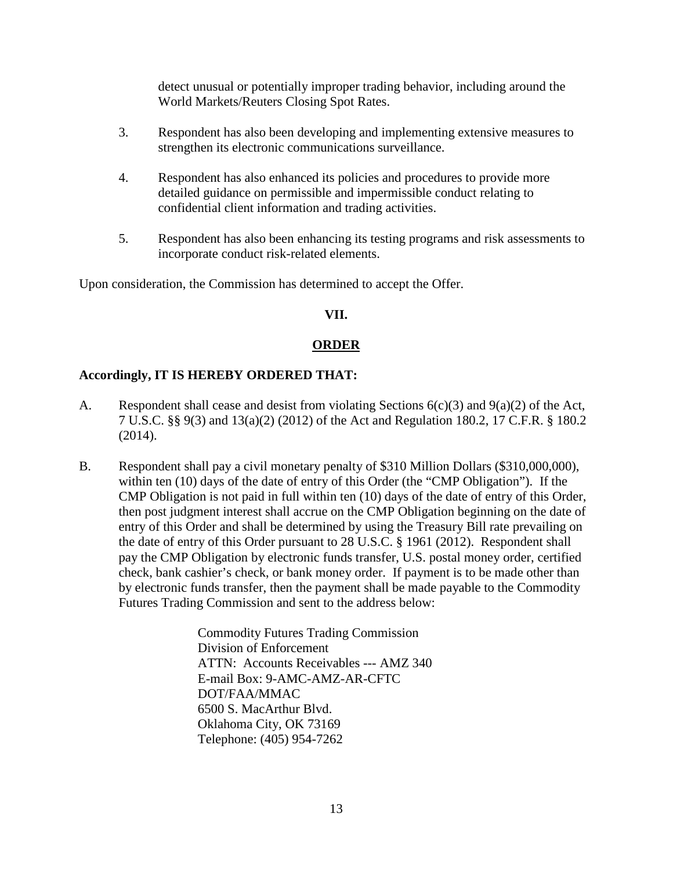detect unusual or potentially improper trading behavior, including around the World Markets/Reuters Closing Spot Rates.

- 3. Respondent has also been developing and implementing extensive measures to strengthen its electronic communications surveillance.
- 4. Respondent has also enhanced its policies and procedures to provide more detailed guidance on permissible and impermissible conduct relating to confidential client information and trading activities.
- 5. Respondent has also been enhancing its testing programs and risk assessments to incorporate conduct risk-related elements.

Upon consideration, the Commission has determined to accept the Offer.

## **VII.**

# **ORDER**

# **Accordingly, IT IS HEREBY ORDERED THAT:**

- A. Respondent shall cease and desist from violating Sections 6(c)(3) and 9(a)(2) of the Act, 7 U.S.C. §§ 9(3) and 13(a)(2) (2012) of the Act and Regulation 180.2, 17 C.F.R. § 180.2 (2014).
- B. Respondent shall pay a civil monetary penalty of \$310 Million Dollars (\$310,000,000), within ten (10) days of the date of entry of this Order (the "CMP Obligation"). If the CMP Obligation is not paid in full within ten (10) days of the date of entry of this Order, then post judgment interest shall accrue on the CMP Obligation beginning on the date of entry of this Order and shall be determined by using the Treasury Bill rate prevailing on the date of entry of this Order pursuant to 28 U.S.C. § 1961 (2012). Respondent shall pay the CMP Obligation by electronic funds transfer, U.S. postal money order, certified check, bank cashier's check, or bank money order. If payment is to be made other than by electronic funds transfer, then the payment shall be made payable to the Commodity Futures Trading Commission and sent to the address below:

Commodity Futures Trading Commission Division of Enforcement ATTN: Accounts Receivables --- AMZ 340 E-mail Box: 9-AMC-AMZ-AR-CFTC DOT/FAA/MMAC 6500 S. MacArthur Blvd. Oklahoma City, OK 73169 Telephone: (405) 954-7262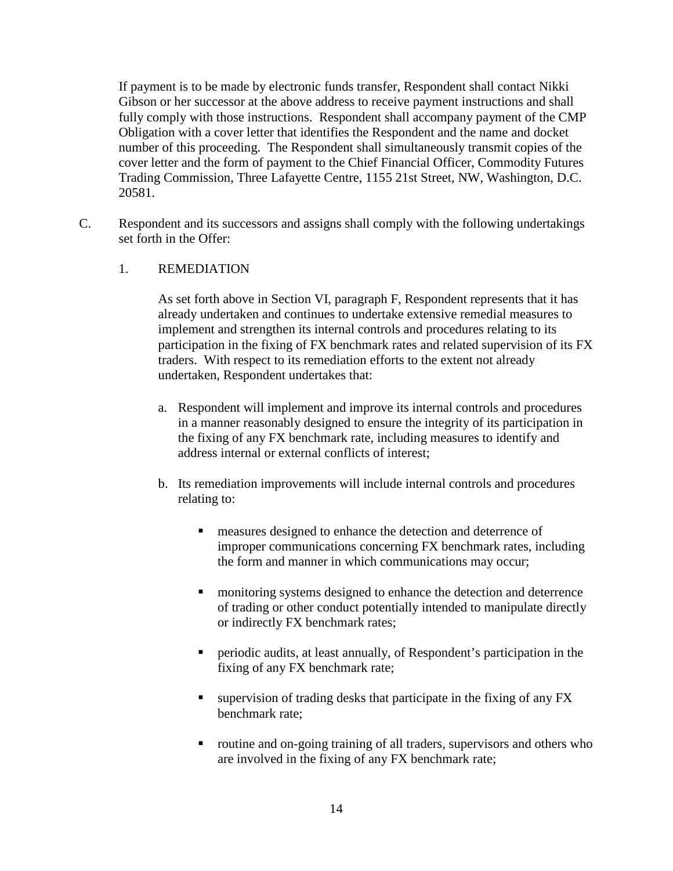If payment is to be made by electronic funds transfer, Respondent shall contact Nikki Gibson or her successor at the above address to receive payment instructions and shall fully comply with those instructions. Respondent shall accompany payment of the CMP Obligation with a cover letter that identifies the Respondent and the name and docket number of this proceeding. The Respondent shall simultaneously transmit copies of the cover letter and the form of payment to the Chief Financial Officer, Commodity Futures Trading Commission, Three Lafayette Centre, 1155 21st Street, NW, Washington, D.C. 20581.

C. Respondent and its successors and assigns shall comply with the following undertakings set forth in the Offer:

## 1. REMEDIATION

As set forth above in Section VI, paragraph F, Respondent represents that it has already undertaken and continues to undertake extensive remedial measures to implement and strengthen its internal controls and procedures relating to its participation in the fixing of FX benchmark rates and related supervision of its FX traders. With respect to its remediation efforts to the extent not already undertaken, Respondent undertakes that:

- a. Respondent will implement and improve its internal controls and procedures in a manner reasonably designed to ensure the integrity of its participation in the fixing of any FX benchmark rate, including measures to identify and address internal or external conflicts of interest;
- b. Its remediation improvements will include internal controls and procedures relating to:
	- **EXECUTE:** measures designed to enhance the detection and deterrence of improper communications concerning FX benchmark rates, including the form and manner in which communications may occur;
	- **n** monitoring systems designed to enhance the detection and deterrence of trading or other conduct potentially intended to manipulate directly or indirectly FX benchmark rates;
	- periodic audits, at least annually, of Respondent's participation in the fixing of any FX benchmark rate;
	- $\blacksquare$  supervision of trading desks that participate in the fixing of any FX benchmark rate;
	- routine and on-going training of all traders, supervisors and others who are involved in the fixing of any FX benchmark rate;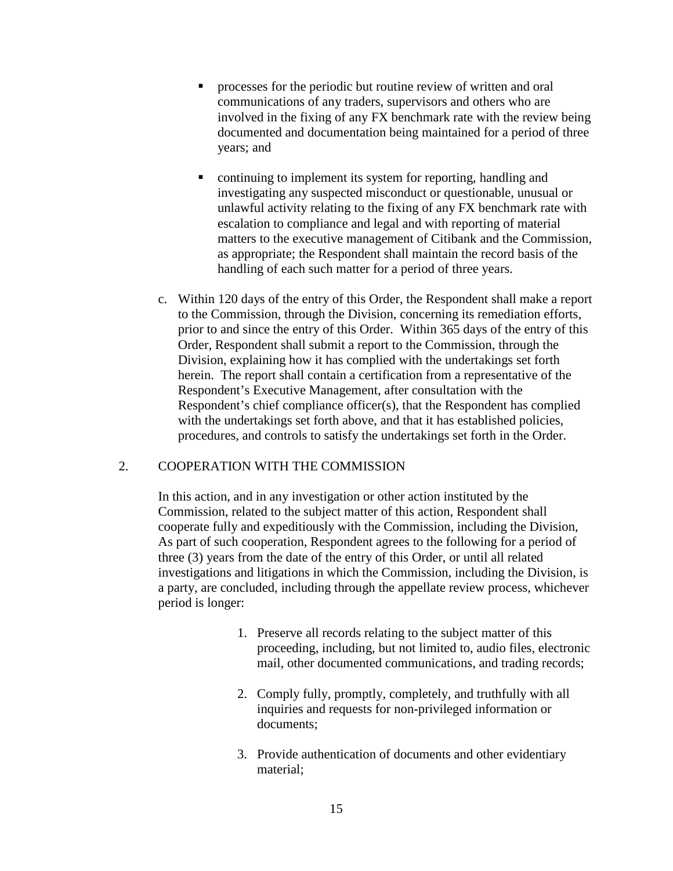- **PEDIE:** processes for the periodic but routine review of written and oral communications of any traders, supervisors and others who are involved in the fixing of any FX benchmark rate with the review being documented and documentation being maintained for a period of three years; and
- continuing to implement its system for reporting, handling and investigating any suspected misconduct or questionable, unusual or unlawful activity relating to the fixing of any FX benchmark rate with escalation to compliance and legal and with reporting of material matters to the executive management of Citibank and the Commission, as appropriate; the Respondent shall maintain the record basis of the handling of each such matter for a period of three years.
- c. Within 120 days of the entry of this Order, the Respondent shall make a report to the Commission, through the Division, concerning its remediation efforts, prior to and since the entry of this Order. Within 365 days of the entry of this Order, Respondent shall submit a report to the Commission, through the Division, explaining how it has complied with the undertakings set forth herein. The report shall contain a certification from a representative of the Respondent's Executive Management, after consultation with the Respondent's chief compliance officer(s), that the Respondent has complied with the undertakings set forth above, and that it has established policies, procedures, and controls to satisfy the undertakings set forth in the Order.

## 2. COOPERATION WITH THE COMMISSION

In this action, and in any investigation or other action instituted by the Commission, related to the subject matter of this action, Respondent shall cooperate fully and expeditiously with the Commission, including the Division, As part of such cooperation, Respondent agrees to the following for a period of three (3) years from the date of the entry of this Order, or until all related investigations and litigations in which the Commission, including the Division, is a party, are concluded, including through the appellate review process, whichever period is longer:

- 1. Preserve all records relating to the subject matter of this proceeding, including, but not limited to, audio files, electronic mail, other documented communications, and trading records;
- 2. Comply fully, promptly, completely, and truthfully with all inquiries and requests for non-privileged information or documents;
- 3. Provide authentication of documents and other evidentiary material;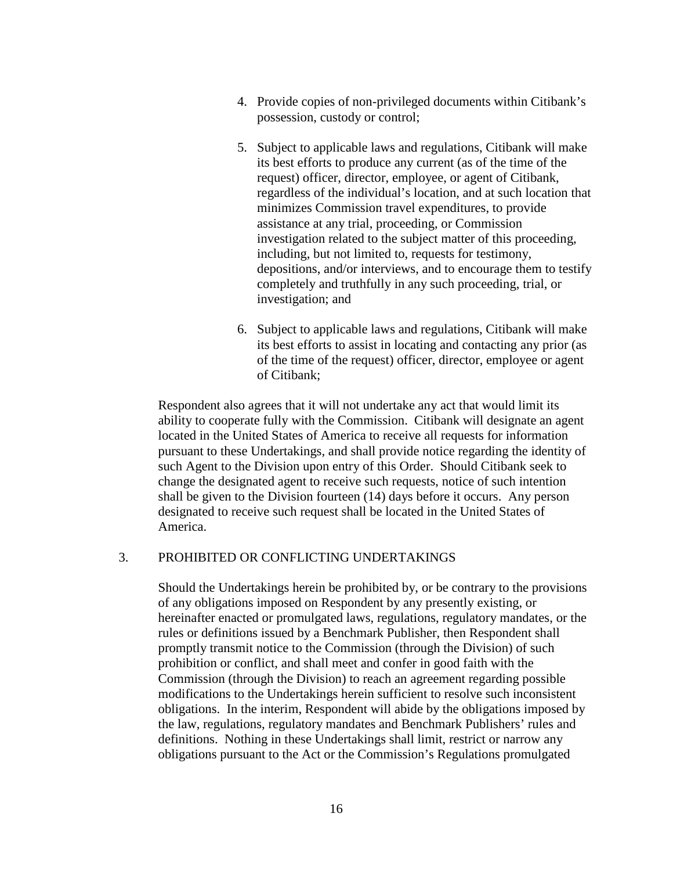- 4. Provide copies of non-privileged documents within Citibank's possession, custody or control;
- 5. Subject to applicable laws and regulations, Citibank will make its best efforts to produce any current (as of the time of the request) officer, director, employee, or agent of Citibank, regardless of the individual's location, and at such location that minimizes Commission travel expenditures, to provide assistance at any trial, proceeding, or Commission investigation related to the subject matter of this proceeding, including, but not limited to, requests for testimony, depositions, and/or interviews, and to encourage them to testify completely and truthfully in any such proceeding, trial, or investigation; and
- 6. Subject to applicable laws and regulations, Citibank will make its best efforts to assist in locating and contacting any prior (as of the time of the request) officer, director, employee or agent of Citibank;

Respondent also agrees that it will not undertake any act that would limit its ability to cooperate fully with the Commission. Citibank will designate an agent located in the United States of America to receive all requests for information pursuant to these Undertakings, and shall provide notice regarding the identity of such Agent to the Division upon entry of this Order. Should Citibank seek to change the designated agent to receive such requests, notice of such intention shall be given to the Division fourteen (14) days before it occurs. Any person designated to receive such request shall be located in the United States of America.

## 3. PROHIBITED OR CONFLICTING UNDERTAKINGS

Should the Undertakings herein be prohibited by, or be contrary to the provisions of any obligations imposed on Respondent by any presently existing, or hereinafter enacted or promulgated laws, regulations, regulatory mandates, or the rules or definitions issued by a Benchmark Publisher, then Respondent shall promptly transmit notice to the Commission (through the Division) of such prohibition or conflict, and shall meet and confer in good faith with the Commission (through the Division) to reach an agreement regarding possible modifications to the Undertakings herein sufficient to resolve such inconsistent obligations. In the interim, Respondent will abide by the obligations imposed by the law, regulations, regulatory mandates and Benchmark Publishers' rules and definitions. Nothing in these Undertakings shall limit, restrict or narrow any obligations pursuant to the Act or the Commission's Regulations promulgated